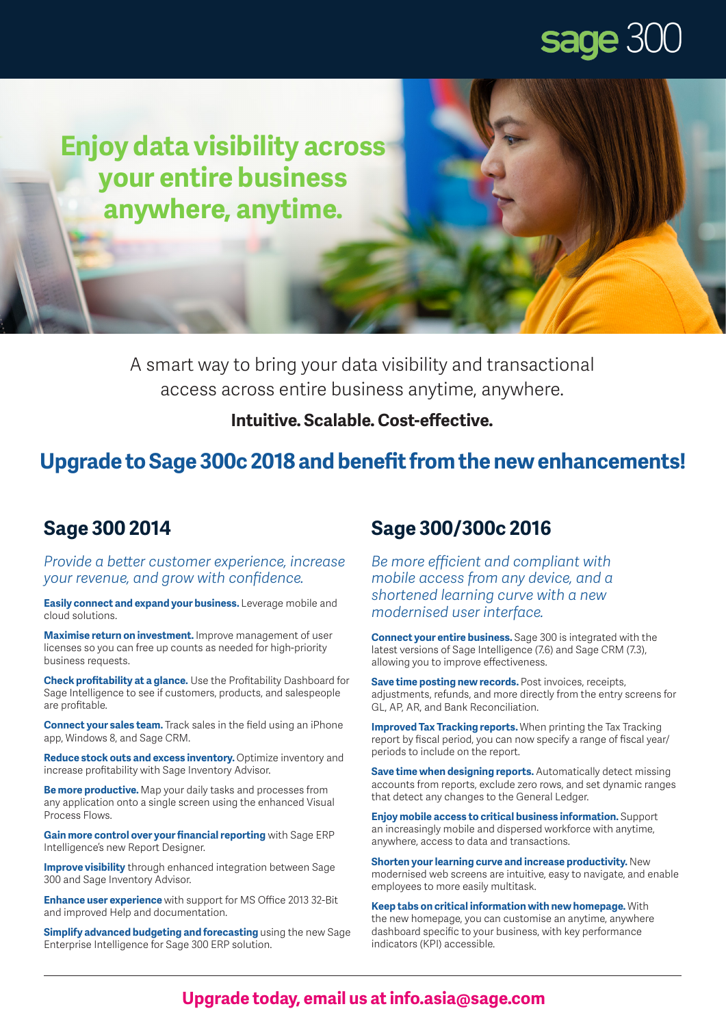## sage 300

**Enjoy data visibility across your entire business anywhere, anytime.**

> A smart way to bring your data visibility and transactional access across entire business anytime, anywhere.

#### **Intuitive. Scalable. Cost-effective.**

## **Upgrade to Sage 300c 2018 and benefit from the new enhancements!**

### **Sage 300 2014**

*Provide a better customer experience, increase your revenue, and grow with confidence.*

**Easily connect and expand your business.** Leverage mobile and cloud solutions.

**Maximise return on investment.** Improve management of user licenses so you can free up counts as needed for high-priority business requests.

**Check profitability at a glance.** Use the Profitability Dashboard for Sage Intelligence to see if customers, products, and salespeople are profitable.

**Connect your sales team.** Track sales in the field using an iPhone app, Windows 8, and Sage CRM.

**Reduce stock outs and excess inventory.** Optimize inventory and increase profitability with Sage Inventory Advisor.

**Be more productive.** Map your daily tasks and processes from any application onto a single screen using the enhanced Visual Process Flows.

**Gain more control over your financial reporting** with Sage ERP Intelligence's new Report Designer.

**Improve visibility** through enhanced integration between Sage 300 and Sage Inventory Advisor.

**Enhance user experience** with support for MS Office 2013 32-Bit and improved Help and documentation.

**Simplify advanced budgeting and forecasting** using the new Sage Enterprise Intelligence for Sage 300 ERP solution.

## **Sage 300/300c 2016**

*Be more efficient and compliant with mobile access from any device, and a shortened learning curve with a new modernised user interface.*

**Connect your entire business.** Sage 300 is integrated with the latest versions of Sage Intelligence (7.6) and Sage CRM (7.3), allowing you to improve effectiveness.

**Save time posting new records.** Post invoices, receipts, adjustments, refunds, and more directly from the entry screens for GL, AP, AR, and Bank Reconciliation.

**Improved Tax Tracking reports.** When printing the Tax Tracking report by fiscal period, you can now specify a range of fiscal year/ periods to include on the report.

**Save time when designing reports.** Automatically detect missing accounts from reports, exclude zero rows, and set dynamic ranges that detect any changes to the General Ledger.

**Enjoy mobile access to critical business information.** Support an increasingly mobile and dispersed workforce with anytime, anywhere, access to data and transactions.

**Shorten your learning curve and increase productivity.** New modernised web screens are intuitive, easy to navigate, and enable employees to more easily multitask.

**Keep tabs on critical information with new homepage.** With the new homepage, you can customise an anytime, anywhere dashboard specific to your business, with key performance indicators (KPI) accessible.

#### **Upgrade today, email us at info.asia@sage.com**